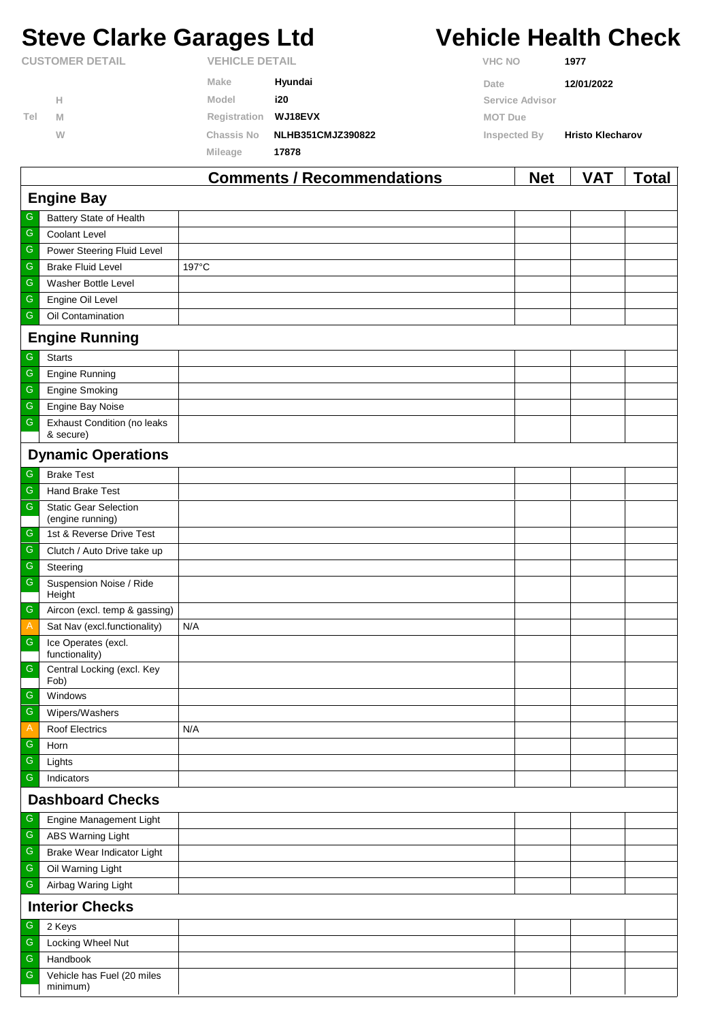# **Steve Clarke Garages Ltd Vehicle Health Check**

|                        |   | $\rightarrow$         | .<br>$\sim$ $\sim$       | $\mathbf{A}$          | .<br>. .                |
|------------------------|---|-----------------------|--------------------------|-----------------------|-------------------------|
|                        |   | Mileage               | 17878                    |                       |                         |
|                        | W | <b>Chassis No</b>     | <b>NLHB351CMJZ390822</b> | Inspected By          | <b>Hristo Klecharov</b> |
| Tel                    | M | Registration WJ18EVX  |                          | MOT Due               |                         |
|                        | н | Model                 | i20                      | Service Advisor       |                         |
|                        |   | Make                  | Hyundai                  | Date                  | 12/01/2022              |
| <b>CUSTOMER DETAIL</b> |   | <b>VEHICLE DETAIL</b> |                          | <b>VHC NO</b><br>1977 |                         |

|                  |                                                 | <b>Comments / Recommendations</b> | <b>Net</b> | VAT | <u>Total</u> |  |  |  |
|------------------|-------------------------------------------------|-----------------------------------|------------|-----|--------------|--|--|--|
|                  | <b>Engine Bay</b>                               |                                   |            |     |              |  |  |  |
| G                | Battery State of Health                         |                                   |            |     |              |  |  |  |
| G                | Coolant Level                                   |                                   |            |     |              |  |  |  |
| ${\mathbb G}$    | Power Steering Fluid Level                      |                                   |            |     |              |  |  |  |
| ${\mathbb G}$    | <b>Brake Fluid Level</b>                        | 197°C                             |            |     |              |  |  |  |
| ${\mathbb G}$    | Washer Bottle Level                             |                                   |            |     |              |  |  |  |
| G                | Engine Oil Level                                |                                   |            |     |              |  |  |  |
| G                | Oil Contamination                               |                                   |            |     |              |  |  |  |
|                  | <b>Engine Running</b>                           |                                   |            |     |              |  |  |  |
| G                | <b>Starts</b>                                   |                                   |            |     |              |  |  |  |
| ${\mathsf G}$    | <b>Engine Running</b>                           |                                   |            |     |              |  |  |  |
| ${\mathbb G}$    | <b>Engine Smoking</b>                           |                                   |            |     |              |  |  |  |
| $\mathsf G$      | Engine Bay Noise                                |                                   |            |     |              |  |  |  |
| G                | <b>Exhaust Condition (no leaks</b><br>& secure) |                                   |            |     |              |  |  |  |
|                  | <b>Dynamic Operations</b>                       |                                   |            |     |              |  |  |  |
| ${\mathsf G}$    | <b>Brake Test</b>                               |                                   |            |     |              |  |  |  |
| G                | Hand Brake Test                                 |                                   |            |     |              |  |  |  |
| ${\mathsf G}$    | <b>Static Gear Selection</b>                    |                                   |            |     |              |  |  |  |
|                  | (engine running)                                |                                   |            |     |              |  |  |  |
| ${\mathsf G}$    | 1st & Reverse Drive Test                        |                                   |            |     |              |  |  |  |
| G<br>$\mathsf G$ | Clutch / Auto Drive take up                     |                                   |            |     |              |  |  |  |
| $\mathsf G$      | Steering                                        |                                   |            |     |              |  |  |  |
|                  | Suspension Noise / Ride<br>Height               |                                   |            |     |              |  |  |  |
| $\mathsf G$      | Aircon (excl. temp & gassing)                   |                                   |            |     |              |  |  |  |
| $\mathsf{A}$     | Sat Nav (excl.functionality)                    | N/A                               |            |     |              |  |  |  |
| $\mathsf G$      | Ice Operates (excl.<br>functionality)           |                                   |            |     |              |  |  |  |
| ${\mathsf G}$    | Central Locking (excl. Key<br>Fob)              |                                   |            |     |              |  |  |  |
| ${\mathsf G}$    | Windows                                         |                                   |            |     |              |  |  |  |
| G                | Wipers/Washers                                  |                                   |            |     |              |  |  |  |
| A                | <b>Roof Electrics</b>                           | N/A                               |            |     |              |  |  |  |
| ${\mathsf G}$    | Horn                                            |                                   |            |     |              |  |  |  |
| G                | Lights                                          |                                   |            |     |              |  |  |  |
| G                | Indicators                                      |                                   |            |     |              |  |  |  |
|                  | <b>Dashboard Checks</b>                         |                                   |            |     |              |  |  |  |
| G                | Engine Management Light                         |                                   |            |     |              |  |  |  |
| ${\mathbb G}$    | ABS Warning Light                               |                                   |            |     |              |  |  |  |
| G                | Brake Wear Indicator Light                      |                                   |            |     |              |  |  |  |
| ${\mathsf G}$    | Oil Warning Light                               |                                   |            |     |              |  |  |  |
| G                | Airbag Waring Light                             |                                   |            |     |              |  |  |  |
|                  | <b>Interior Checks</b>                          |                                   |            |     |              |  |  |  |
| ${\mathsf G}$    | 2 Keys                                          |                                   |            |     |              |  |  |  |
| G                | Locking Wheel Nut                               |                                   |            |     |              |  |  |  |
| ${\mathsf G}$    | Handbook                                        |                                   |            |     |              |  |  |  |
| G                | Vehicle has Fuel (20 miles<br>minimum)          |                                   |            |     |              |  |  |  |